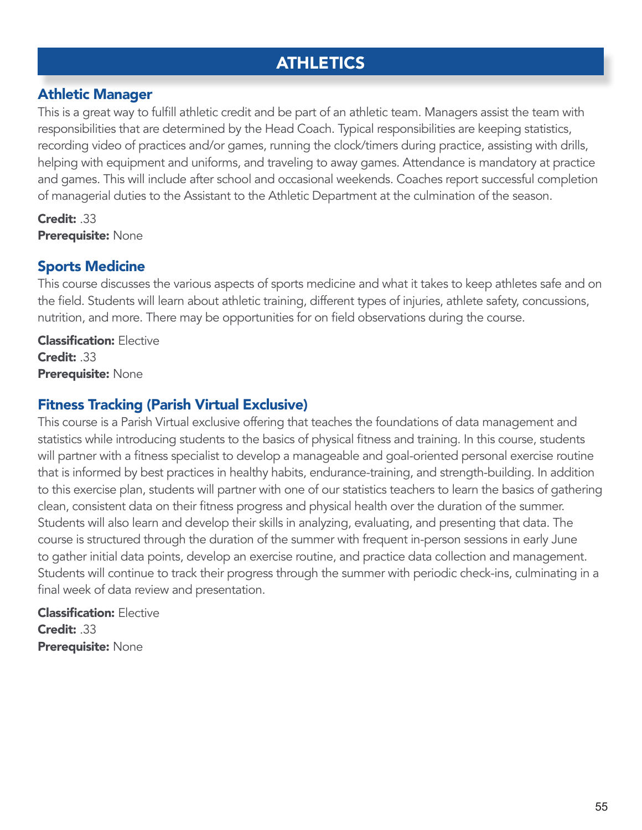## **ATHLETICS**

## Athletic Manager

This is a great way to fulfill athletic credit and be part of an athletic team. Managers assist the team with responsibilities that are determined by the Head Coach. Typical responsibilities are keeping statistics, recording video of practices and/or games, running the clock/timers during practice, assisting with drills, helping with equipment and uniforms, and traveling to away games. Attendance is mandatory at practice and games. This will include after school and occasional weekends. Coaches report successful completion of managerial duties to the Assistant to the Athletic Department at the culmination of the season.

Credit: .33 Prerequisite: None

## Sports Medicine

This course discusses the various aspects of sports medicine and what it takes to keep athletes safe and on the field. Students will learn about athletic training, different types of injuries, athlete safety, concussions, nutrition, and more. There may be opportunities for on field observations during the course.

**Classification: Elective** Credit: .33 Prerequisite: None

## Fitness Tracking (Parish Virtual Exclusive)

This course is a Parish Virtual exclusive offering that teaches the foundations of data management and statistics while introducing students to the basics of physical fitness and training. In this course, students will partner with a fitness specialist to develop a manageable and goal-oriented personal exercise routine that is informed by best practices in healthy habits, endurance-training, and strength-building. In addition to this exercise plan, students will partner with one of our statistics teachers to learn the basics of gathering clean, consistent data on their fitness progress and physical health over the duration of the summer. Students will also learn and develop their skills in analyzing, evaluating, and presenting that data. The course is structured through the duration of the summer with frequent in-person sessions in early June to gather initial data points, develop an exercise routine, and practice data collection and management. Students will continue to track their progress through the summer with periodic check-ins, culminating in a final week of data review and presentation.

Classification: Elective Credit: .33 Prerequisite: None